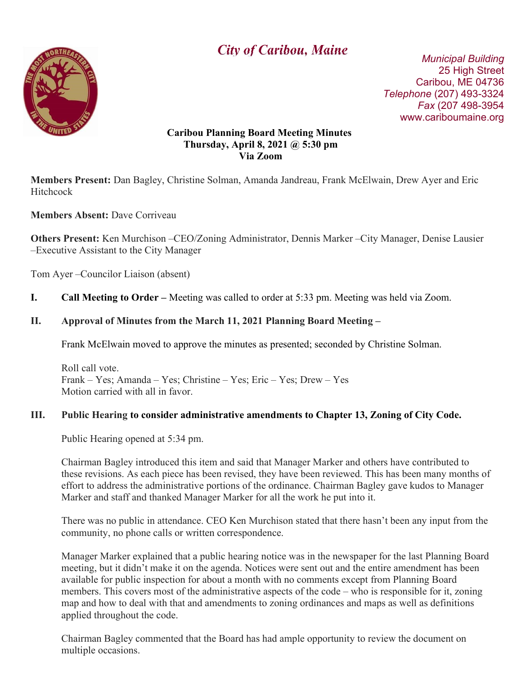

# $\overline{a}$ **City of Caribou, Maine** Municipal Building

 25 High Street Caribou, ME 04736 Telephone (207) 493-3324 Fax (207 498-3954 www.cariboumaine.org

#### Caribou Planning Board Meeting Minutes Thursday, April 8, 2021 @ 5:30 pm Via Zoom

Members Present: Dan Bagley, Christine Solman, Amanda Jandreau, Frank McElwain, Drew Ayer and Eric **Hitchcock** 

## Members Absent: Dave Corriveau

Others Present: Ken Murchison –CEO/Zoning Administrator, Dennis Marker –City Manager, Denise Lausier –Executive Assistant to the City Manager

Tom Ayer –Councilor Liaison (absent)

I. Call Meeting to Order – Meeting was called to order at 5:33 pm. Meeting was held via Zoom.

## II. Approval of Minutes from the March 11, 2021 Planning Board Meeting –

Frank McElwain moved to approve the minutes as presented; seconded by Christine Solman.

Roll call vote. Frank – Yes; Amanda – Yes; Christine – Yes; Eric – Yes; Drew – Yes Motion carried with all in favor.

#### III. Public Hearing to consider administrative amendments to Chapter 13, Zoning of City Code.

Public Hearing opened at 5:34 pm.

Chairman Bagley introduced this item and said that Manager Marker and others have contributed to these revisions. As each piece has been revised, they have been reviewed. This has been many months of effort to address the administrative portions of the ordinance. Chairman Bagley gave kudos to Manager Marker and staff and thanked Manager Marker for all the work he put into it.

There was no public in attendance. CEO Ken Murchison stated that there hasn't been any input from the community, no phone calls or written correspondence.

Manager Marker explained that a public hearing notice was in the newspaper for the last Planning Board meeting, but it didn't make it on the agenda. Notices were sent out and the entire amendment has been available for public inspection for about a month with no comments except from Planning Board members. This covers most of the administrative aspects of the code – who is responsible for it, zoning map and how to deal with that and amendments to zoning ordinances and maps as well as definitions applied throughout the code.

Chairman Bagley commented that the Board has had ample opportunity to review the document on multiple occasions.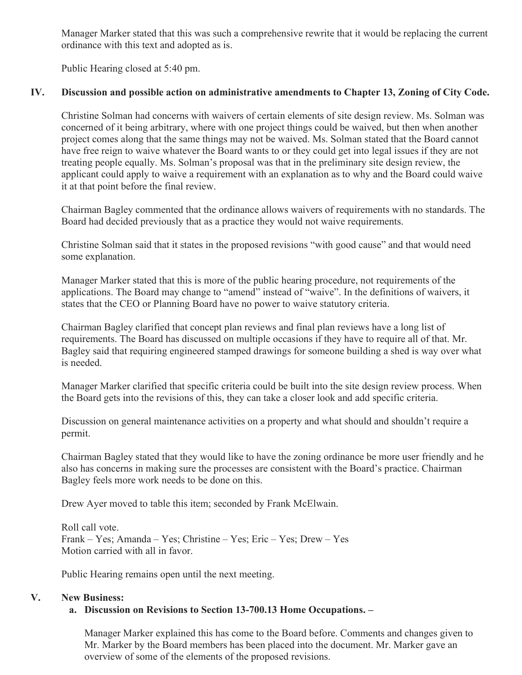Manager Marker stated that this was such a comprehensive rewrite that it would be replacing the current ordinance with this text and adopted as is.

Public Hearing closed at 5:40 pm.

## IV. Discussion and possible action on administrative amendments to Chapter 13, Zoning of City Code.

Christine Solman had concerns with waivers of certain elements of site design review. Ms. Solman was concerned of it being arbitrary, where with one project things could be waived, but then when another project comes along that the same things may not be waived. Ms. Solman stated that the Board cannot have free reign to waive whatever the Board wants to or they could get into legal issues if they are not treating people equally. Ms. Solman's proposal was that in the preliminary site design review, the applicant could apply to waive a requirement with an explanation as to why and the Board could waive it at that point before the final review.

Chairman Bagley commented that the ordinance allows waivers of requirements with no standards. The Board had decided previously that as a practice they would not waive requirements.

Christine Solman said that it states in the proposed revisions "with good cause" and that would need some explanation.

Manager Marker stated that this is more of the public hearing procedure, not requirements of the applications. The Board may change to "amend" instead of "waive". In the definitions of waivers, it states that the CEO or Planning Board have no power to waive statutory criteria.

Chairman Bagley clarified that concept plan reviews and final plan reviews have a long list of requirements. The Board has discussed on multiple occasions if they have to require all of that. Mr. Bagley said that requiring engineered stamped drawings for someone building a shed is way over what is needed.

Manager Marker clarified that specific criteria could be built into the site design review process. When the Board gets into the revisions of this, they can take a closer look and add specific criteria.

Discussion on general maintenance activities on a property and what should and shouldn't require a permit.

Chairman Bagley stated that they would like to have the zoning ordinance be more user friendly and he also has concerns in making sure the processes are consistent with the Board's practice. Chairman Bagley feels more work needs to be done on this.

Drew Ayer moved to table this item; seconded by Frank McElwain.

Roll call vote. Frank – Yes; Amanda – Yes; Christine – Yes; Eric – Yes; Drew – Yes Motion carried with all in favor.

Public Hearing remains open until the next meeting.

#### V. New Business:

## a. Discussion on Revisions to Section 13-700.13 Home Occupations. –

Manager Marker explained this has come to the Board before. Comments and changes given to Mr. Marker by the Board members has been placed into the document. Mr. Marker gave an overview of some of the elements of the proposed revisions.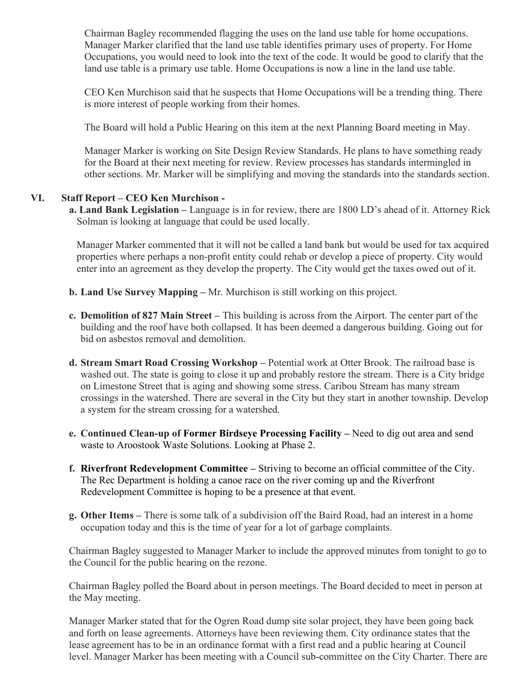Chairman Bagley recommended flagging the uses on the land use table for home occupations. Manager Marker clarified that the land use table identifies primary uses of property. For Home Occupations, you would need to look into the text of the code. It would be good to clarify that the land use table is a primary use table. Home Occupations is now a line in the land use table.

CEO Ken Murchison said that he suspects that Home Occupations will be a trending thing. There is more interest of people working from their homes.

The Board will hold a Public Hearing on this item at the next Planning Board meeting in May.

Manager Marker is working on Site Design Review Standards. He plans to have something ready for the Board at their next meeting for review. Review processes has standards intermingled in other sections. Mr. Marker will be simplifying and moving the standards into the standards section.

#### VI. Staff Report – CEO Ken Murchison -

a. Land Bank Legislation – Language is in for review, there are 1800 LD's ahead of it. Attorney Rick Solman is looking at language that could be used locally.

Manager Marker commented that it will not be called a land bank but would be used for tax acquired properties where perhaps a non-profit entity could rehab or develop a piece of property. City would enter into an agreement as they develop the property. The City would get the taxes owed out of it.

- b. Land Use Survey Mapping Mr. Murchison is still working on this project.
- c. Demolition of 827 Main Street This building is across from the Airport. The center part of the building and the roof have both collapsed. It has been deemed a dangerous building. Going out for bid on asbestos removal and demolition.
- d. Stream Smart Road Crossing Workshop Potential work at Otter Brook. The railroad base is washed out. The state is going to close it up and probably restore the stream. There is a City bridge on Limestone Street that is aging and showing some stress. Caribou Stream has many stream crossings in the watershed. There are several in the City but they start in another township. Develop a system for the stream crossing for a watershed.
- e. Continued Clean-up of Former Birdseye Processing Facility Need to dig out area and send waste to Aroostook Waste Solutions. Looking at Phase 2.
- f. Riverfront Redevelopment Committee Striving to become an official committee of the City. The Rec Department is holding a canoe race on the river coming up and the Riverfront Redevelopment Committee is hoping to be a presence at that event.
- g. Other Items There is some talk of a subdivision off the Baird Road, had an interest in a home occupation today and this is the time of year for a lot of garbage complaints.

Chairman Bagley suggested to Manager Marker to include the approved minutes from tonight to go to the Council for the public hearing on the rezone.

Chairman Bagley polled the Board about in person meetings. The Board decided to meet in person at the May meeting.

Manager Marker stated that for the Ogren Road dump site solar project, they have been going back and forth on lease agreements. Attorneys have been reviewing them. City ordinance states that the lease agreement has to be in an ordinance format with a first read and a public hearing at Council level. Manager Marker has been meeting with a Council sub-committee on the City Charter. There are